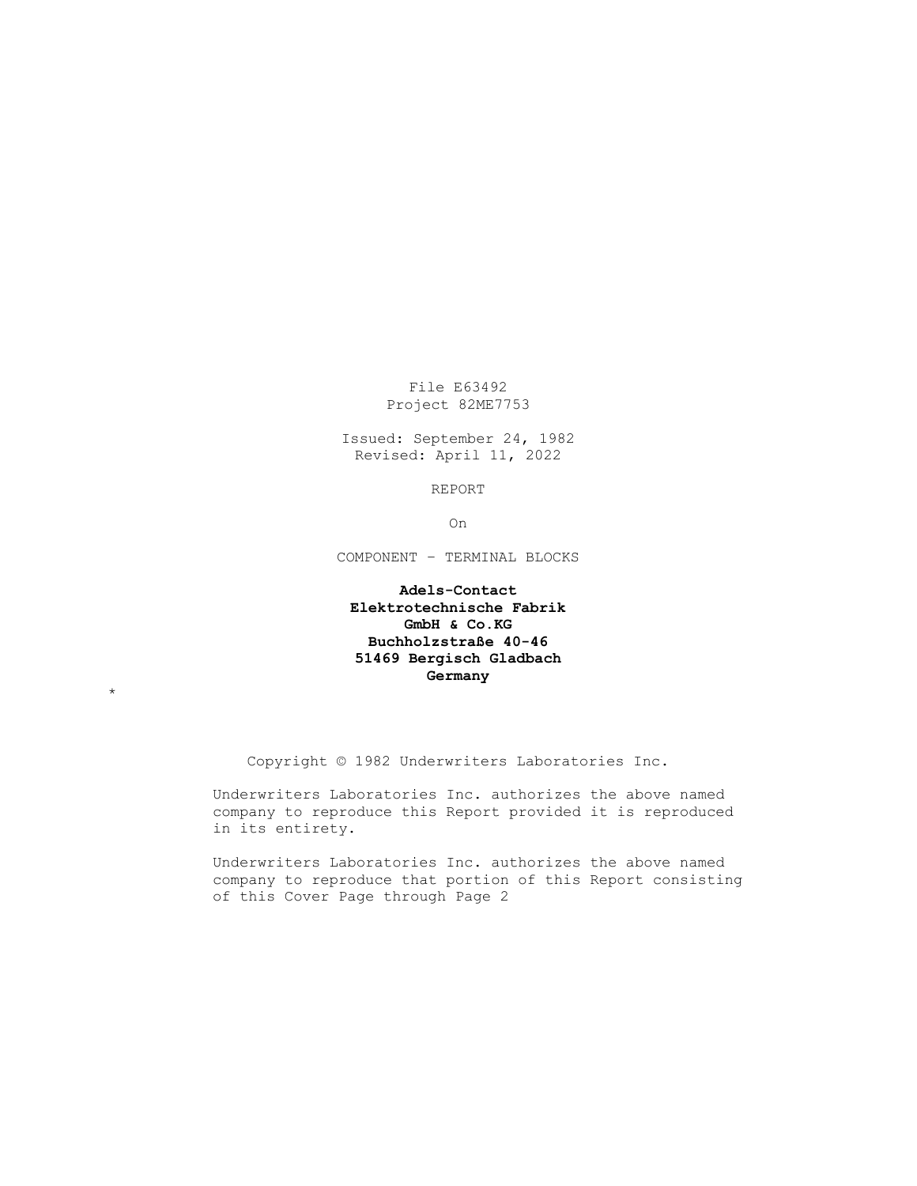File E63492 Project 82ME7753

Issued: September 24, 1982 Revised: April 11, 2022

REPORT

On

COMPONENT – TERMINAL BLOCKS

# **Adels-Contact Elektrotechnische Fabrik GmbH & Co.KG Buchholzstraße 40-46 51469 Bergisch Gladbach Germany**

\*

Copyright © 1982 Underwriters Laboratories Inc.

Underwriters Laboratories Inc. authorizes the above named company to reproduce this Report provided it is reproduced in its entirety.

Underwriters Laboratories Inc. authorizes the above named company to reproduce that portion of this Report consisting of this Cover Page through Page 2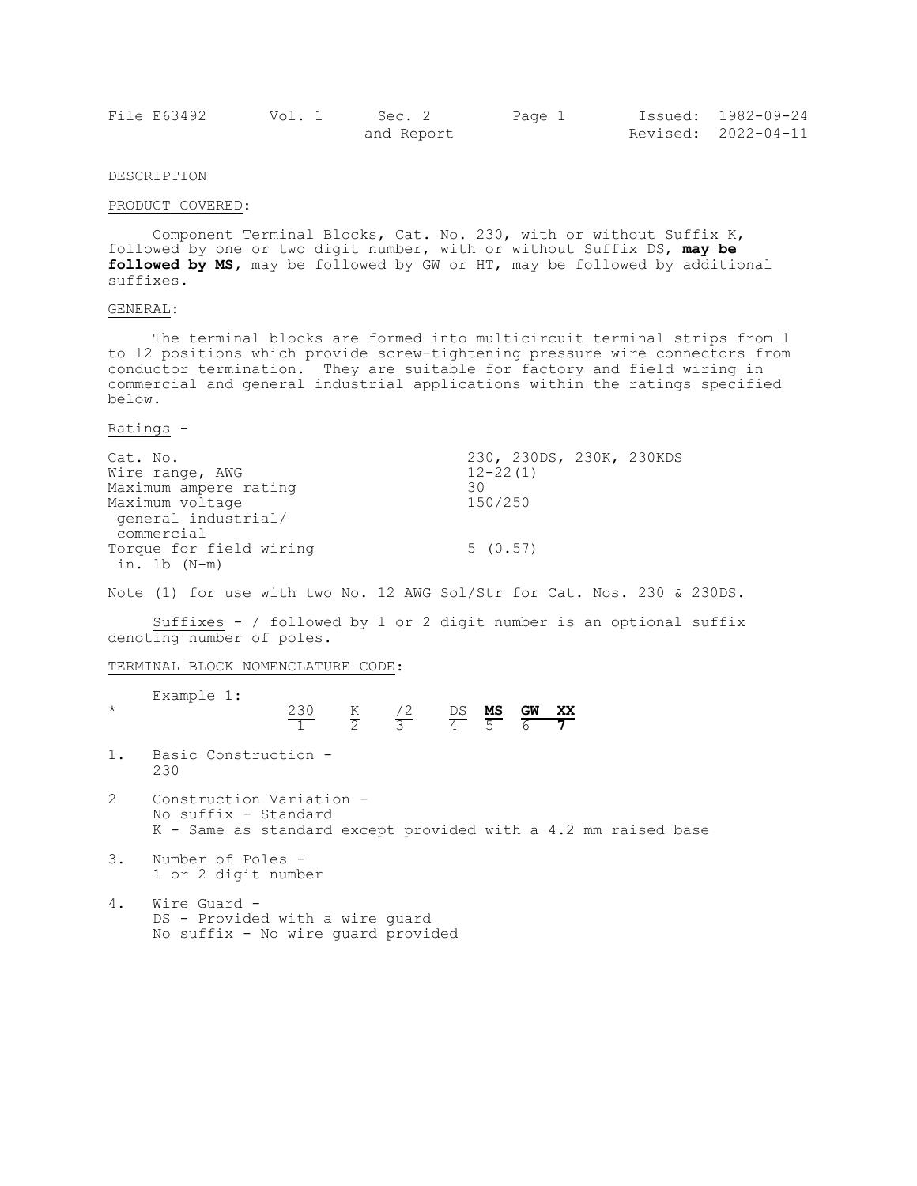| File E63492 | Vol. 1 | Sec. 2     | Page 1 | Issued: 1982-09-24  |
|-------------|--------|------------|--------|---------------------|
|             |        | and Report |        | Revised: 2022-04-11 |

## DESCRIPTION

#### PRODUCT COVERED:

Component Terminal Blocks, Cat. No. 230, with or without Suffix K, followed by one or two digit number, with or without Suffix DS, **may be followed by MS,** may be followed by GW or HT, may be followed by additional suffixes.

#### GENERAL:

The terminal blocks are formed into multicircuit terminal strips from 1 to 12 positions which provide screw-tightening pressure wire connectors from conductor termination. They are suitable for factory and field wiring in commercial and general industrial applications within the ratings specified below.

Ratings -

| Cat. No.                | 230, 230DS, 230K, 230KDS |
|-------------------------|--------------------------|
| Wire range, AWG         | $12 - 22(1)$             |
| Maximum ampere rating   | 30                       |
| Maximum voltage         | 150/250                  |
| qeneral industrial/     |                          |
| commercial              |                          |
| Torque for field wiring | 5(0.57)                  |
| in. lb (N-m)            |                          |

Note (1) for use with two No. 12 AWG Sol/Str for Cat. Nos. 230 & 230DS.

Suffixes - / followed by 1 or 2 digit number is an optional suffix denoting number of poles.

TERMINAL BLOCK NOMENCLATURE CODE:

| $\star$        | Example 1:                                                                                                         |  | $\frac{230}{1}$ $\frac{K}{2}$ $\frac{72}{3}$ $\frac{DS}{4}$ $\frac{MS}{5}$ $\frac{GW}{6}$ $\frac{XX}{7}$ |  |  |  |
|----------------|--------------------------------------------------------------------------------------------------------------------|--|----------------------------------------------------------------------------------------------------------|--|--|--|
|                | 1. Basic Construction -<br>230                                                                                     |  |                                                                                                          |  |  |  |
| $\overline{2}$ | Construction Variation -<br>No suffix - Standard<br>K - Same as standard except provided with a 4.2 mm raised base |  |                                                                                                          |  |  |  |
| 3.             | Number of Poles -<br>1 or 2 digit number                                                                           |  |                                                                                                          |  |  |  |
| $\Lambda$      | $Min \cap$ $C \cap \cap$                                                                                           |  |                                                                                                          |  |  |  |

4. Wire Guard DS - Provided with a wire guard No suffix - No wire guard provided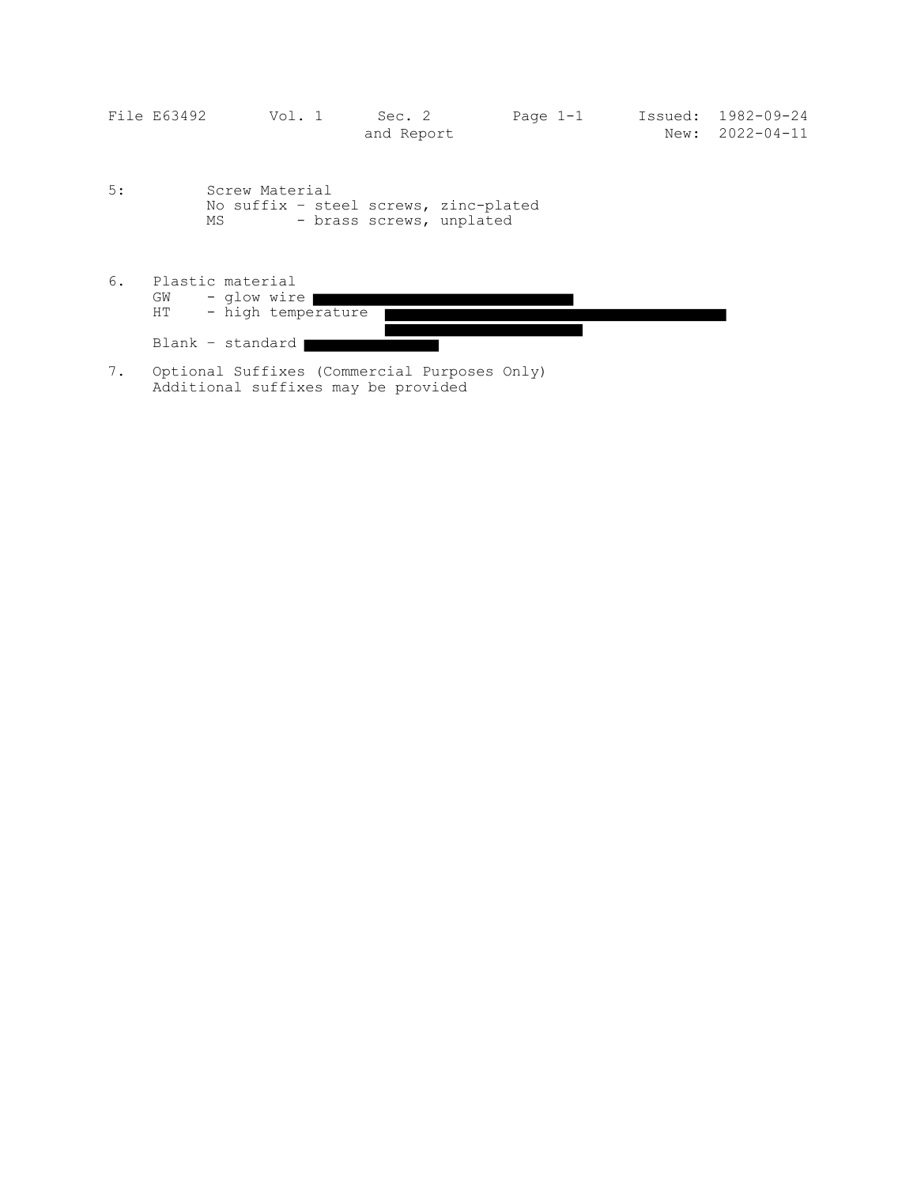| File E63492 | Vol. 1 | Sec. 2     | Page $1-1$ | Issued: 1982-09-24    |
|-------------|--------|------------|------------|-----------------------|
|             |        | and Report |            | $New: 2022 - 04 - 11$ |

- 5: Screw Material No suffix – steel screws, zinc-plated MS - brass screws, unplated
- 6. Plastic material GW - glow wire HT - high temperature

Blank – standard

7. Optional Suffixes (Commercial Purposes Only) Additional suffixes may be provided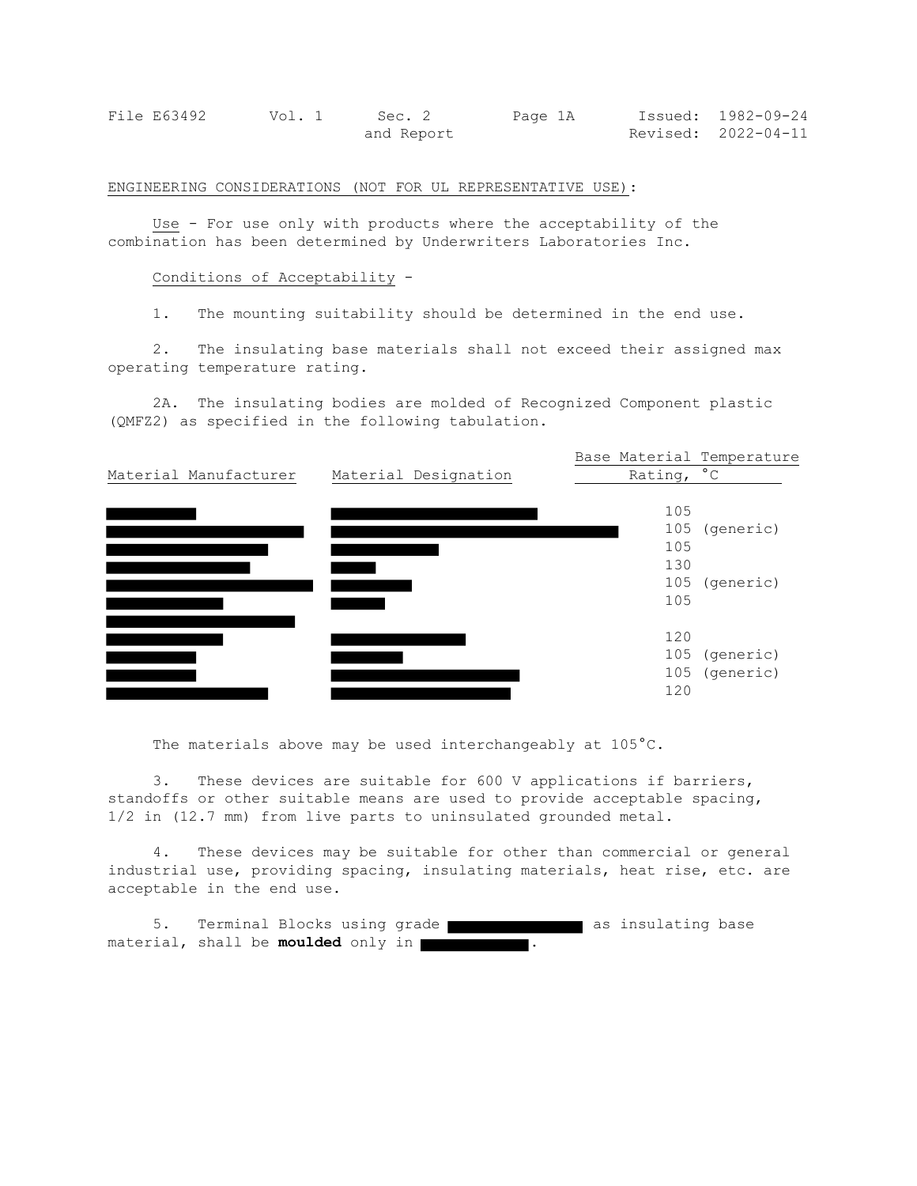| File E63492 | Vol. 1 | Sec. 2     | Page 1A | Issued: 1982-09-24  |
|-------------|--------|------------|---------|---------------------|
|             |        | and Report |         | Revised: 2022-04-11 |

ENGINEERING CONSIDERATIONS (NOT FOR UL REPRESENTATIVE USE):

Use - For use only with products where the acceptability of the combination has been determined by Underwriters Laboratories Inc.

### Conditions of Acceptability -

1. The mounting suitability should be determined in the end use.

2. The insulating base materials shall not exceed their assigned max operating temperature rating.

2A. The insulating bodies are molded of Recognized Component plastic (QMFZ2) as specified in the following tabulation.



The materials above may be used interchangeably at 105°C.

3. These devices are suitable for 600 V applications if barriers, standoffs or other suitable means are used to provide acceptable spacing, 1/2 in (12.7 mm) from live parts to uninsulated grounded metal.

4. These devices may be suitable for other than commercial or general industrial use, providing spacing, insulating materials, heat rise, etc. are acceptable in the end use.

5. Terminal Blocks using grade **and as insulating base** material, shall be **moulded** only in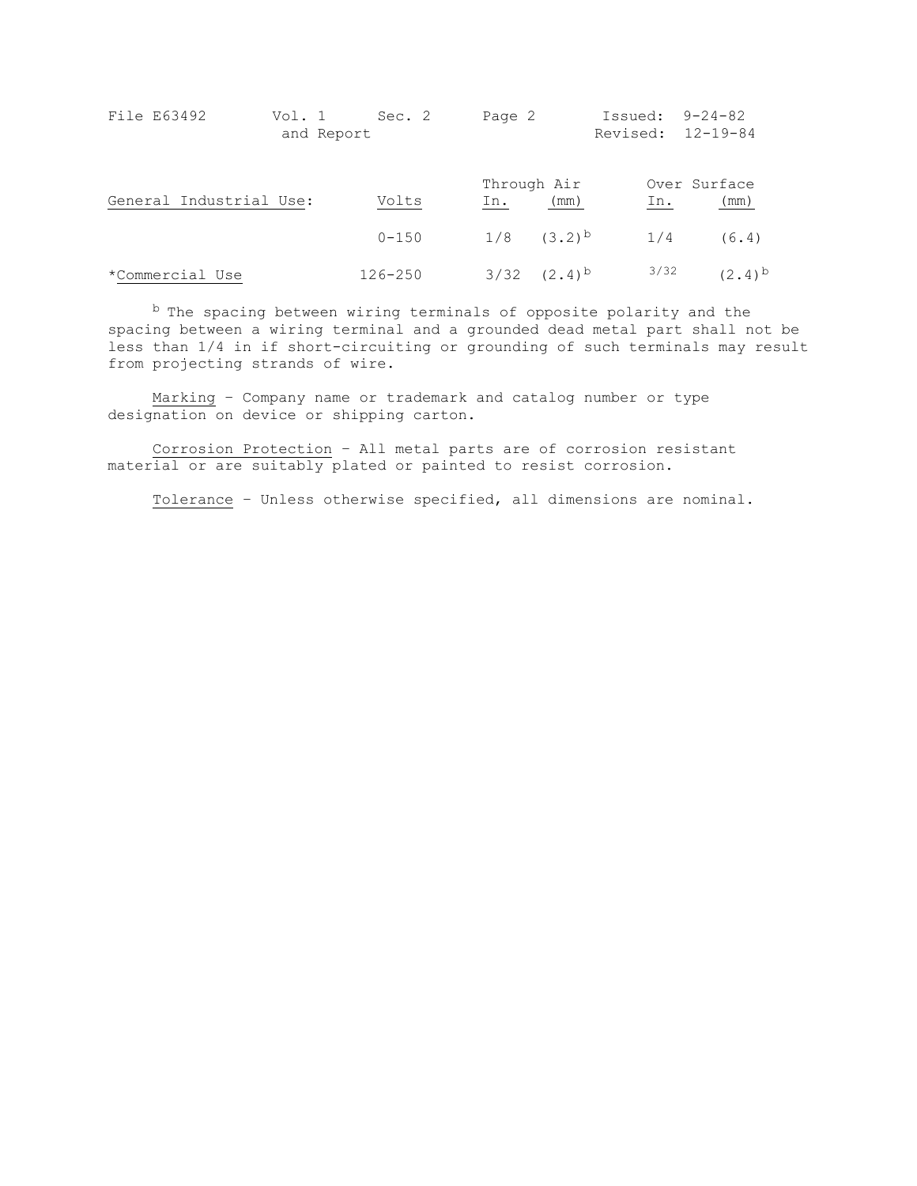| File E63492             | Vol. 1<br>and Report | Sec. 2      | Page 2 |                     | Issued: $9-24-82$<br>Revised: 12-19-84 |                      |
|-------------------------|----------------------|-------------|--------|---------------------|----------------------------------------|----------------------|
| General Industrial Use: |                      | Volts       | In.    | Through Air<br>(mm) | In.                                    | Over Surface<br>(mm) |
|                         |                      | $0 - 150$   |        | $1/8$ $(3.2)^b$     | 1/4                                    | (6.4)                |
| *Commercial Use         |                      | $126 - 250$ |        | $3/32$ $(2.4)^{b}$  | 3/32                                   | $(2.4)^{b}$          |

b The spacing between wiring terminals of opposite polarity and the spacing between a wiring terminal and a grounded dead metal part shall not be less than 1/4 in if short-circuiting or grounding of such terminals may result from projecting strands of wire.

Marking – Company name or trademark and catalog number or type designation on device or shipping carton.

Corrosion Protection – All metal parts are of corrosion resistant material or are suitably plated or painted to resist corrosion.

Tolerance – Unless otherwise specified, all dimensions are nominal.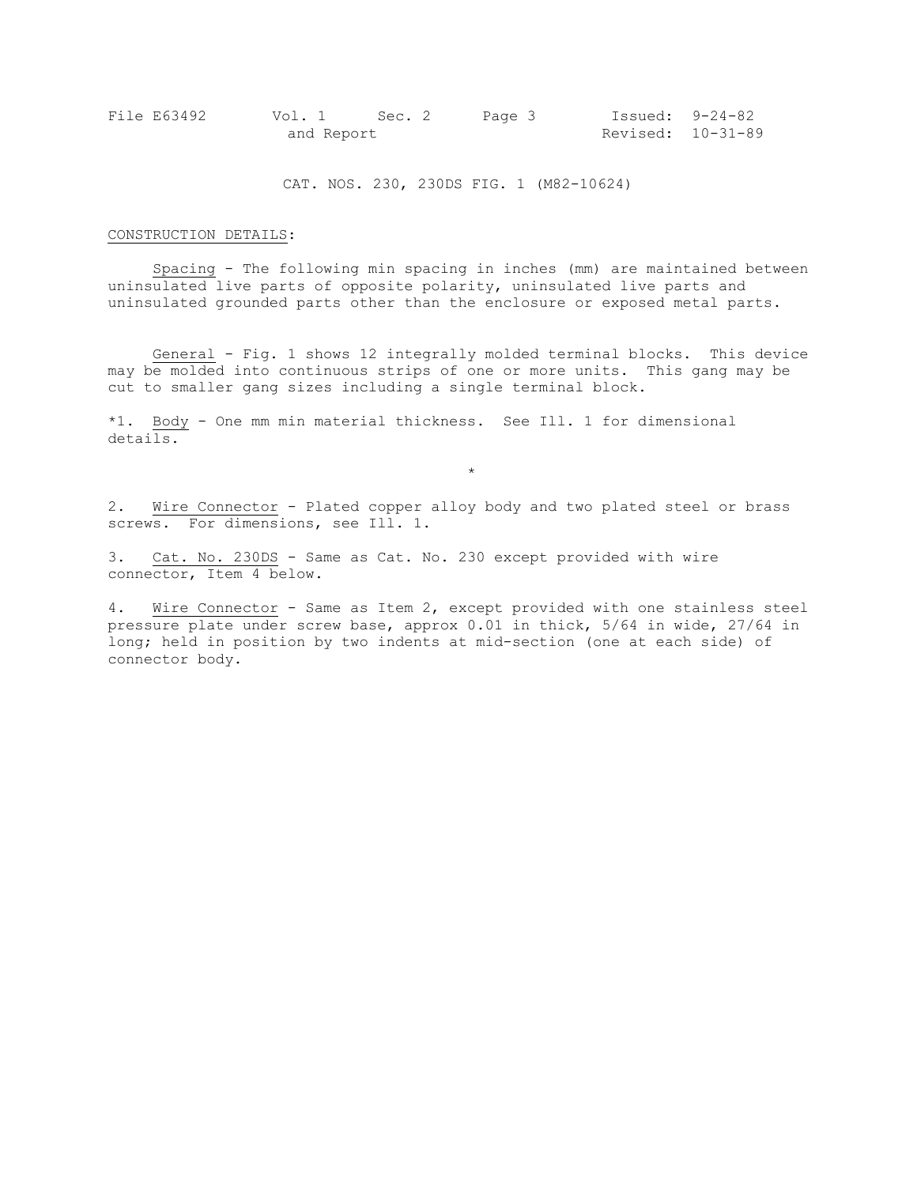| File E63492 |            | Vol. 1 Sec. 2 | Page 3 |                   | Issued: 9-24-82 |
|-------------|------------|---------------|--------|-------------------|-----------------|
|             | and Report |               |        | Revised: 10-31-89 |                 |

CAT. NOS. 230, 230DS FIG. 1 (M82-10624)

#### CONSTRUCTION DETAILS:

Spacing - The following min spacing in inches (mm) are maintained between uninsulated live parts of opposite polarity, uninsulated live parts and uninsulated grounded parts other than the enclosure or exposed metal parts.

General - Fig. 1 shows 12 integrally molded terminal blocks. This device may be molded into continuous strips of one or more units. This gang may be cut to smaller gang sizes including a single terminal block.

\*1. Body - One mm min material thickness. See Ill. 1 for dimensional details.

2. Wire Connector - Plated copper alloy body and two plated steel or brass screws. For dimensions, see Ill. 1.

\*

3. Cat. No. 230DS - Same as Cat. No. 230 except provided with wire connector, Item 4 below.

4. Wire Connector - Same as Item 2, except provided with one stainless steel pressure plate under screw base, approx 0.01 in thick, 5/64 in wide, 27/64 in long; held in position by two indents at mid-section (one at each side) of connector body.